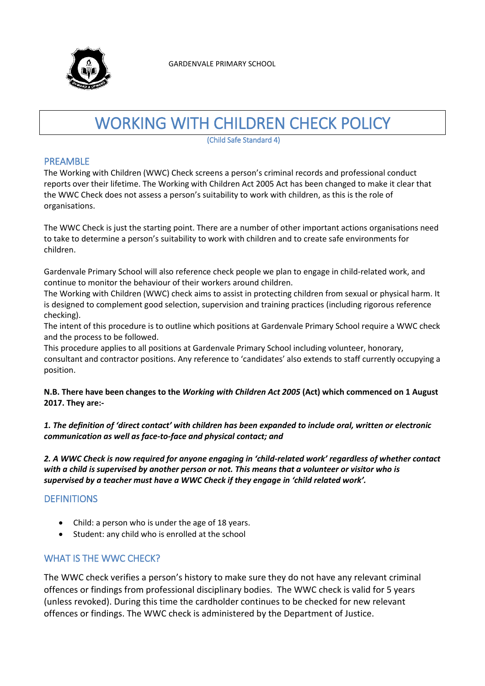

# WORKING WITH CHILDREN CHECK POLICY

(Child Safe Standard 4)

#### PREAMBLE

The Working with Children (WWC) Check screens a person's criminal records and professional conduct reports over their lifetime. The Working with Children Act 2005 Act has been changed to make it clear that the WWC Check does not assess a person's suitability to work with children, as this is the role of organisations.

The WWC Check is just the starting point. There are a number of other important actions organisations need to take to determine a person's suitability to work with children and to create safe environments for children.

Gardenvale Primary School will also reference check people we plan to engage in child-related work, and continue to monitor the behaviour of their workers around children.

The Working with Children (WWC) check aims to assist in protecting children from sexual or physical harm. It is designed to complement good selection, supervision and training practices (including rigorous reference checking).

The intent of this procedure is to outline which positions at Gardenvale Primary School require a WWC check and the process to be followed.

This procedure applies to all positions at Gardenvale Primary School including volunteer, honorary, consultant and contractor positions. Any reference to 'candidates' also extends to staff currently occupying a position.

#### **N.B. There have been changes to the** *Working with Children Act 2005* **(Act) which commenced on 1 August 2017. They are:-**

*1. The definition of 'direct contact' with children has been expanded to include oral, written or electronic communication as well as face-to-face and physical contact; and*

*2. A WWC Check is now required for anyone engaging in 'child-related work' regardless of whether contact with a child is supervised by another person or not. This means that a volunteer or visitor who is supervised by a teacher must have a WWC Check if they engage in 'child related work'.*

# **DEFINITIONS**

- Child: a person who is under the age of 18 years.
- Student: any child who is enrolled at the school

## WHAT IS THE WWC CHECK?

The WWC check verifies a person's history to make sure they do not have any relevant criminal offences or findings from professional disciplinary bodies. The WWC check is valid for 5 years (unless revoked). During this time the cardholder continues to be checked for new relevant offences or findings. The WWC check is administered by the Department of Justice.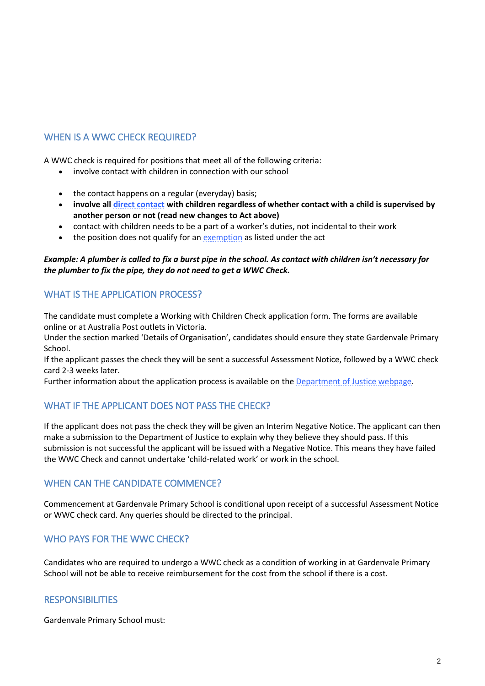# WHEN IS A WWC CHECK REQUIRED?

A WWC check is required for positions that meet all of the following criteria:

- involve contact with children in connection with our school
- the contact happens on a regular (everyday) basis;
- **involve all [direct contact](http://www.justice.vic.gov.au/wps/wcm/connect/Working+With+Children/Home/Application+Process/Who+Needs+to+Apply/) with children regardless of whether contact with a child is supervised by another person or not (read new changes to Act above)**
- contact with children needs to be a part of a worker's duties, not incidental to their work
- the position does not qualify for a[n exemption](http://www.justice.vic.gov.au/wps/wcm/connect/Working+With+Children/Home/Application+Process/Who+Needs+to+Apply/WWCC+-+Exemptions+from+Applying+for+a+Check) as listed under the act

#### *Example: A plumber is called to fix a burst pipe in the school. As contact with children isn't necessary for the plumber to fix the pipe, they do not need to get a WWC Check.*

# WHAT IS THE APPLICATION PROCESS?

The candidate must complete a Working with Children Check application form. The forms are available online or at Australia Post outlets in Victoria.

Under the section marked 'Details of Organisation', candidates should ensure they state Gardenvale Primary School.

If the applicant passes the check they will be sent a successful Assessment Notice, followed by a WWC check card 2-3 weeks later.

Further information about the application process is available on th[e Department of Justice webpage.](https://online.justice.vic.gov.au/wwc/wwc-online-check)

# WHAT IF THE APPLICANT DOES NOT PASS THE CHECK?

If the applicant does not pass the check they will be given an Interim Negative Notice. The applicant can then make a submission to the Department of Justice to explain why they believe they should pass. If this submission is not successful the applicant will be issued with a Negative Notice. This means they have failed the WWC Check and cannot undertake 'child-related work' or work in the school.

## WHEN CAN THE CANDIDATE COMMENCE?

Commencement at Gardenvale Primary School is conditional upon receipt of a successful Assessment Notice or WWC check card. Any queries should be directed to the principal.

## WHO PAYS FOR THE WWC CHECK?

Candidates who are required to undergo a WWC check as a condition of working in at Gardenvale Primary School will not be able to receive reimbursement for the cost from the school if there is a cost.

#### **RESPONSIBILITIES**

Gardenvale Primary School must: